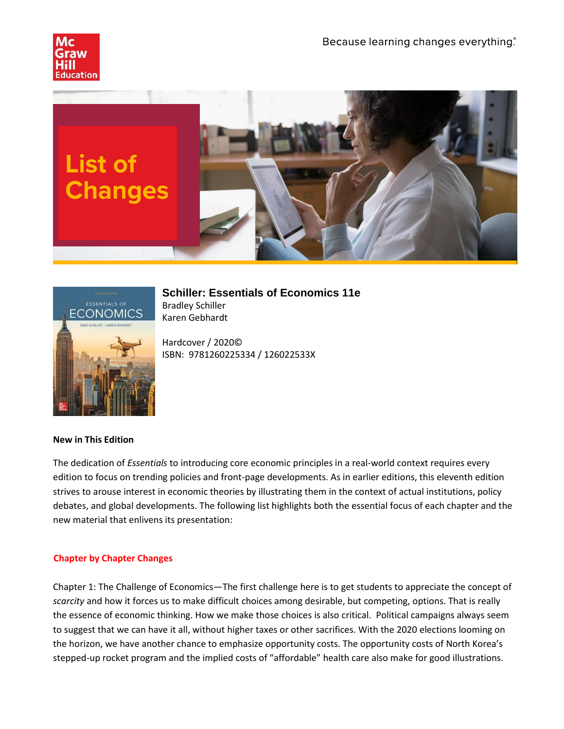





**Schiller: Essentials of Economics 11e** Bradley Schiller Karen Gebhardt

Hardcover / 2020© ISBN: 9781260225334 / 126022533X

#### **New in This Edition**

The dedication of *Essentials* to introducing core economic principles in a real-world context requires every edition to focus on trending policies and front-page developments. As in earlier editions, this eleventh edition strives to arouse interest in economic theories by illustrating them in the context of actual institutions, policy debates, and global developments. The following list highlights both the essential focus of each chapter and the new material that enlivens its presentation:

# **Chapter by Chapter Changes**

Chapter 1: The Challenge of Economics—The first challenge here is to get students to appreciate the concept of *scarcity* and how it forces us to make difficult choices among desirable, but competing, options. That is really the essence of economic thinking. How we make those choices is also critical. Political campaigns always seem to suggest that we can have it all, without higher taxes or other sacrifices. With the 2020 elections looming on the horizon, we have another chance to emphasize opportunity costs. The opportunity costs of North Korea's stepped-up rocket program and the implied costs of "affordable" health care also make for good illustrations.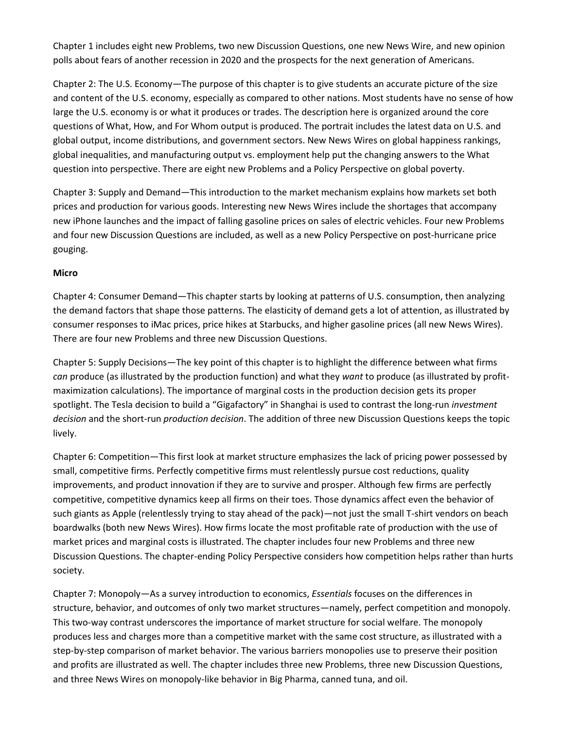Chapter 1 includes eight new Problems, two new Discussion Questions, one new News Wire, and new opinion polls about fears of another recession in 2020 and the prospects for the next generation of Americans.

Chapter 2: The U.S. Economy—The purpose of this chapter is to give students an accurate picture of the size and content of the U.S. economy, especially as compared to other nations. Most students have no sense of how large the U.S. economy is or what it produces or trades. The description here is organized around the core questions of What, How, and For Whom output is produced. The portrait includes the latest data on U.S. and global output, income distributions, and government sectors. New News Wires on global happiness rankings, global inequalities, and manufacturing output vs. employment help put the changing answers to the What question into perspective. There are eight new Problems and a Policy Perspective on global poverty.

Chapter 3: Supply and Demand—This introduction to the market mechanism explains how markets set both prices and production for various goods. Interesting new News Wires include the shortages that accompany new iPhone launches and the impact of falling gasoline prices on sales of electric vehicles. Four new Problems and four new Discussion Questions are included, as well as a new Policy Perspective on post-hurricane price gouging.

#### **Micro**

Chapter 4: Consumer Demand—This chapter starts by looking at patterns of U.S. consumption, then analyzing the demand factors that shape those patterns. The elasticity of demand gets a lot of attention, as illustrated by consumer responses to iMac prices, price hikes at Starbucks, and higher gasoline prices (all new News Wires). There are four new Problems and three new Discussion Questions.

Chapter 5: Supply Decisions—The key point of this chapter is to highlight the difference between what firms *can* produce (as illustrated by the production function) and what they *want* to produce (as illustrated by profitmaximization calculations). The importance of marginal costs in the production decision gets its proper spotlight. The Tesla decision to build a "Gigafactory" in Shanghai is used to contrast the long-run *investment decision* and the short-run *production decision*. The addition of three new Discussion Questions keeps the topic lively.

Chapter 6: Competition—This first look at market structure emphasizes the lack of pricing power possessed by small, competitive firms. Perfectly competitive firms must relentlessly pursue cost reductions, quality improvements, and product innovation if they are to survive and prosper. Although few firms are perfectly competitive, competitive dynamics keep all firms on their toes. Those dynamics affect even the behavior of such giants as Apple (relentlessly trying to stay ahead of the pack)—not just the small T-shirt vendors on beach boardwalks (both new News Wires). How firms locate the most profitable rate of production with the use of market prices and marginal costs is illustrated. The chapter includes four new Problems and three new Discussion Questions. The chapter-ending Policy Perspective considers how competition helps rather than hurts society.

Chapter 7: Monopoly—As a survey introduction to economics, *Essentials* focuses on the differences in structure, behavior, and outcomes of only two market structures—namely, perfect competition and monopoly. This two-way contrast underscores the importance of market structure for social welfare. The monopoly produces less and charges more than a competitive market with the same cost structure, as illustrated with a step-by-step comparison of market behavior. The various barriers monopolies use to preserve their position and profits are illustrated as well. The chapter includes three new Problems, three new Discussion Questions, and three News Wires on monopoly-like behavior in Big Pharma, canned tuna, and oil.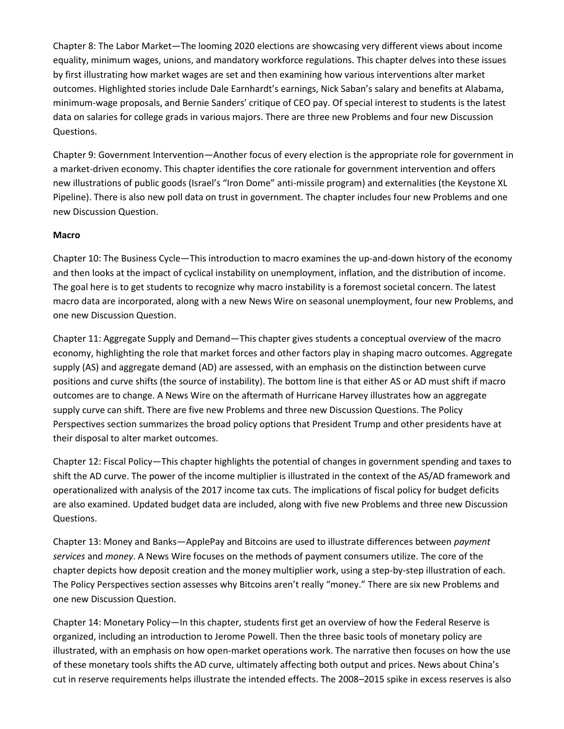Chapter 8: The Labor Market—The looming 2020 elections are showcasing very different views about income equality, minimum wages, unions, and mandatory workforce regulations. This chapter delves into these issues by first illustrating how market wages are set and then examining how various interventions alter market outcomes. Highlighted stories include Dale Earnhardt's earnings, Nick Saban's salary and benefits at Alabama, minimum-wage proposals, and Bernie Sanders' critique of CEO pay. Of special interest to students is the latest data on salaries for college grads in various majors. There are three new Problems and four new Discussion Questions.

Chapter 9: Government Intervention—Another focus of every election is the appropriate role for government in a market-driven economy. This chapter identifies the core rationale for government intervention and offers new illustrations of public goods (Israel's "Iron Dome" anti-missile program) and externalities (the Keystone XL Pipeline). There is also new poll data on trust in government. The chapter includes four new Problems and one new Discussion Question.

#### **Macro**

Chapter 10: The Business Cycle—This introduction to macro examines the up-and-down history of the economy and then looks at the impact of cyclical instability on unemployment, inflation, and the distribution of income. The goal here is to get students to recognize why macro instability is a foremost societal concern. The latest macro data are incorporated, along with a new News Wire on seasonal unemployment, four new Problems, and one new Discussion Question.

Chapter 11: Aggregate Supply and Demand—This chapter gives students a conceptual overview of the macro economy, highlighting the role that market forces and other factors play in shaping macro outcomes. Aggregate supply (AS) and aggregate demand (AD) are assessed, with an emphasis on the distinction between curve positions and curve shifts (the source of instability). The bottom line is that either AS or AD must shift if macro outcomes are to change. A News Wire on the aftermath of Hurricane Harvey illustrates how an aggregate supply curve can shift. There are five new Problems and three new Discussion Questions. The Policy Perspectives section summarizes the broad policy options that President Trump and other presidents have at their disposal to alter market outcomes.

Chapter 12: Fiscal Policy—This chapter highlights the potential of changes in government spending and taxes to shift the AD curve. The power of the income multiplier is illustrated in the context of the AS/AD framework and operationalized with analysis of the 2017 income tax cuts. The implications of fiscal policy for budget deficits are also examined. Updated budget data are included, along with five new Problems and three new Discussion Questions.

Chapter 13: Money and Banks—ApplePay and Bitcoins are used to illustrate differences between *payment services* and *money*. A News Wire focuses on the methods of payment consumers utilize. The core of the chapter depicts how deposit creation and the money multiplier work, using a step-by-step illustration of each. The Policy Perspectives section assesses why Bitcoins aren't really "money." There are six new Problems and one new Discussion Question.

Chapter 14: Monetary Policy—In this chapter, students first get an overview of how the Federal Reserve is organized, including an introduction to Jerome Powell. Then the three basic tools of monetary policy are illustrated, with an emphasis on how open-market operations work. The narrative then focuses on how the use of these monetary tools shifts the AD curve, ultimately affecting both output and prices. News about China's cut in reserve requirements helps illustrate the intended effects. The 2008–2015 spike in excess reserves is also